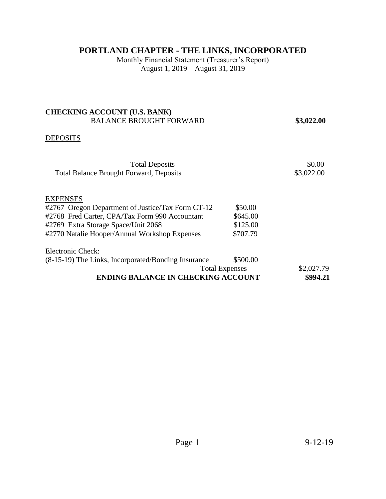# **PORTLAND CHAPTER - THE LINKS, INCORPORATED**

Monthly Financial Statement (Treasurer's Report) August 1, 2019 – August 31, 2019

# **CHECKING ACCOUNT (U.S. BANK)**  BALANCE BROUGHT FORWARD **\$3,022.00**

### **DEPOSITS**

| <b>Total Deposits</b>                               |          | \$0.00     |
|-----------------------------------------------------|----------|------------|
| <b>Total Balance Brought Forward, Deposits</b>      |          | \$3,022.00 |
|                                                     |          |            |
|                                                     |          |            |
| EXPENSES                                            |          |            |
| #2767 Oregon Department of Justice/Tax Form CT-12   | \$50.00  |            |
| #2768 Fred Carter, CPA/Tax Form 990 Accountant      | \$645.00 |            |
| #2769 Extra Storage Space/Unit 2068                 | \$125.00 |            |
| #2770 Natalie Hooper/Annual Workshop Expenses       | \$707.79 |            |
| <b>Electronic Check:</b>                            |          |            |
| (8-15-19) The Links, Incorporated/Bonding Insurance | \$500.00 |            |
| <b>Total Expenses</b>                               |          | \$2,027.79 |
| <b>ENDING BALANCE IN CHECKING ACCOUNT</b>           |          | \$994.21   |
|                                                     |          |            |